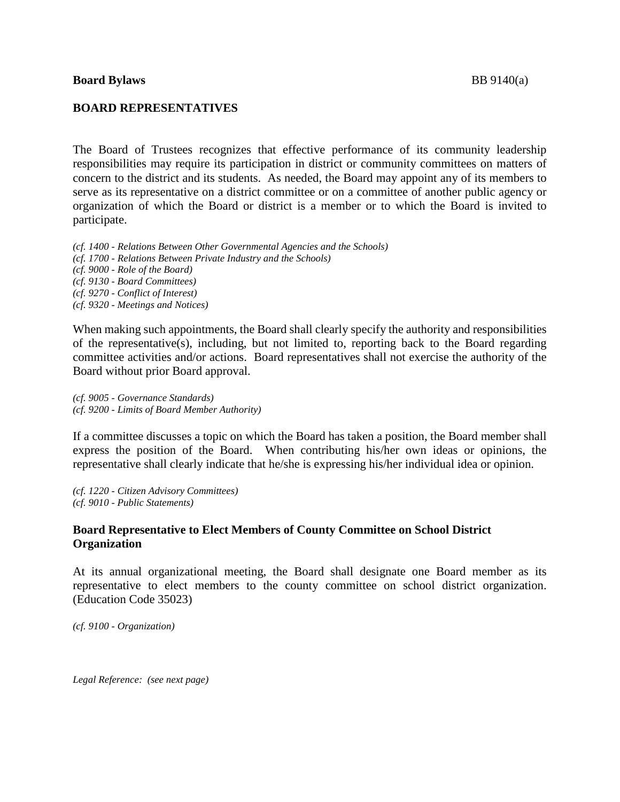The Board of Trustees recognizes that effective performance of its community leadership responsibilities may require its participation in district or community committees on matters of concern to the district and its students. As needed, the Board may appoint any of its members to serve as its representative on a district committee or on a committee of another public agency or organization of which the Board or district is a member or to which the Board is invited to participate.

*(cf. 1400 - Relations Between Other Governmental Agencies and the Schools) (cf. 1700 - Relations Between Private Industry and the Schools) (cf. 9000 - Role of the Board) (cf. 9130 - Board Committees) (cf. 9270 - Conflict of Interest) (cf. 9320 - Meetings and Notices)*

When making such appointments, the Board shall clearly specify the authority and responsibilities of the representative(s), including, but not limited to, reporting back to the Board regarding committee activities and/or actions. Board representatives shall not exercise the authority of the Board without prior Board approval.

*(cf. 9005 - Governance Standards) (cf. 9200 - Limits of Board Member Authority)*

If a committee discusses a topic on which the Board has taken a position, the Board member shall express the position of the Board. When contributing his/her own ideas or opinions, the representative shall clearly indicate that he/she is expressing his/her individual idea or opinion.

*(cf. 1220 - Citizen Advisory Committees) (cf. 9010 - Public Statements)*

## **Board Representative to Elect Members of County Committee on School District Organization**

At its annual organizational meeting, the Board shall designate one Board member as its representative to elect members to the county committee on school district organization. (Education Code 35023)

*(cf. 9100 - Organization)*

*Legal Reference: (see next page)*